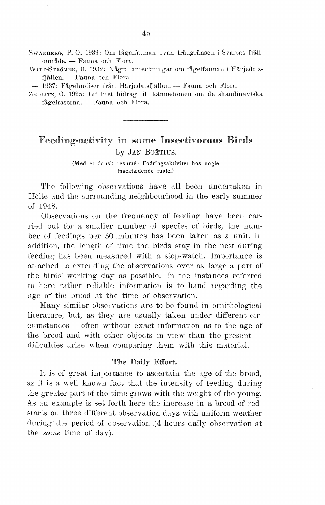SwANBERG, P. 0. 1939: Om fågelfaunan ovan tradgransen i Svaipas fjallområde. - Fauna och Flora.

\VITT-STROMER, B. 1932: Några anteckningar om fågelfaunan i Harjedals fjällen. - Fauna och Flora.

- 1937: Fågelnotiser från Härjedalsfjällen. -- Fauna och Flora.

ZEDLITZ, 0. 1925: Ett litet bidrag till kannedomen om de skandinaviska fågelraserna. - Fauna och Flora.

# Feeding-activity in some Insectivorous Birds

by JAN BOETIUS.

(Med et dansk resume: Fodringsaktivitet hos nogle insektædende fugle.)

The following observations have all been undertaken in Holte and the surrounding neighbourhood in the early summer of 1948.

Observations on the frequency of feeding have been carried out for a smaller number of species of birds, the number of feedings per 30 minutes has been taken as a unit. In addition, the length of time the birds stay in the nest during feeding has been measured with a stop-watch. Importance is attached to extending the observations over as large a part of the birds' working day as possible. In the instances referred to here rather reliable information is to hand regarding the age of the brood at the time of observation.

Many similar observations are to be found in ornithological literature, but, as they are usually taken under different circumstances – often without exact information as to the age of the brood and with other objects in view than the present  $$ dificulties arise when comparing them with this material.

### The Daily Effort.

It is of great importance to ascertain the age of the brood, as it is a well known faet that the intensity of feeding during the greater part of the time grows with the weight of the young. As an example is set forth here the increase in a brood of redstarts on three different observation days with uniform weather during the period of observation .(4 hours daily observation at the *same* time of day).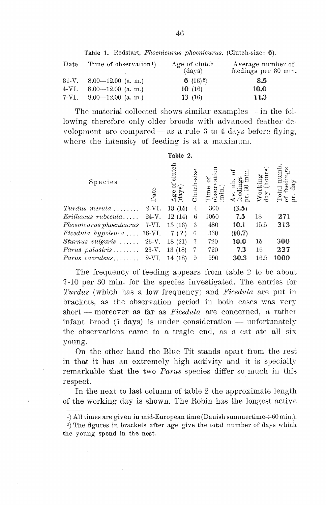Table 1. Redstart, *Phoenicurus phoenicurus.* (Clutch-size: 6).

| Date | Time of observation <sup>1</sup> ) | Age of clutch<br>$\text{(days)}$ | Average number of<br>feedings per 30 min. |
|------|------------------------------------|----------------------------------|-------------------------------------------|
|      | 31-V. $8.00-12.00$ (a.m.)          | 6 $(16)$ <sup>2</sup> )          | 8.5                                       |
|      | 4-VI. 8.00-12.00 (a. m.)           | 10(16)                           | 10.0                                      |
|      | 7-VI. $8.00-12.00$ (a. m.)         | 13(16)                           | 11.3                                      |

The material collected shows similar examples — in the following therefore only older broods with advanced feather development are compared  $-$  as a rule 3 to 4 days before flying, where the intensity of feeding is at a maximum.

|                                                      |         | Table 2.                                |                   |                                                         |        |                                             |                       |
|------------------------------------------------------|---------|-----------------------------------------|-------------------|---------------------------------------------------------|--------|---------------------------------------------|-----------------------|
| Species                                              | Date    | $_{\rm clute}$<br>F<br>Age of<br>(days) | $-size$<br>Clutch | $\sigma$<br>Time<br>$\frac{\text{obser}}{\text{(min)}}$ | ⊳      | orking<br>ıy (hou<br>$_{\rm day}^{\rm 5.5}$ | dmu<br>$\mathrm{day}$ |
| $Turdus$ merula $\ldots \ldots$                      | 9-VI.   | 13(15)                                  | 4                 | 300                                                     | (3.5)  |                                             |                       |
| $Erithacus$ rubecula                                 | $24-V.$ | 12(14)                                  | 6                 | 1050                                                    | 7.5    | 18                                          | 271                   |
| Phoenicurus phoenicurus 7-VI.                        |         | 13(16)                                  | 6                 | 480                                                     | 10.1   | 15.5                                        | 313                   |
| Ficedula hypoleuca  18-VI.                           |         | 7(?)                                    | 6                 | 330                                                     | (10.7) |                                             |                       |
| Sturnus vulgaris  26-V.                              |         | 18(21)                                  | -7                | 720                                                     | 10.0   | 15                                          | 300                   |
| <i>Parus palustris</i> $\ldots \ldots \ldots 26$ -V. |         | 13(18)                                  | 7                 | 720                                                     | 7.3    | 16                                          | 237                   |
| <i>Parus caeruleus</i> $2-VI$ .                      |         | 14 (18)                                 | 9                 | 990                                                     | 30.3   | 16.5                                        | 1000                  |
|                                                      |         |                                         |                   |                                                         |        |                                             |                       |

The frequency of feeding appears from table 2 to be about 7 -10 per 30 min. for the species investigated. The entries for *Turdus* (which has a low frequency) and *Ficedula* are put in brackets, as the observation period in both cases was very short - moreover as far as *Ficedula* are concerned, a rather infant brood  $(7 \text{ days})$  is under consideration  $-$  unfortunately the observations emne to a tragic end, as a cat ate all six young.

On the other hand the Blue Tit stands apart from the rest in that it has an extremely high activity and it is specially remarkable that the two *Parus* species differ so much in this respect.

In the next to last column of table 2 the approximate length of the working day is shown. The Robin has the longest active

1) All times are given in mid-European time (Danish summertime $\div 60$  min.).

<sup>2)</sup> The figures in brackets after age give the total nurnber of days which the young spend in the nest.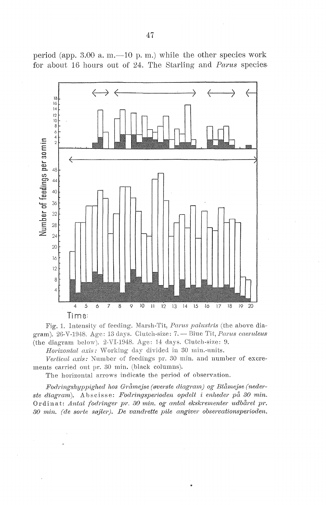

period (app. 3.00 a. m.  $-10$  p. m.) while the other species work for about 16 honrs out of 24. The Starling and *Parus* species.

Fig. 1. Intensity of feeding. Marsh-Tit, Parus palustris (the above diagram). 26-V-1948. Age: 13 days. Clutch-size: 7. - Blue Tit, Parus caeruleus (the diagram below). 2-VI-1948. Age: 14 days. Clutch-size: 9.

Horizontal axis: Working day divided in 30 min.-units.

Vertical axis: Number of feedings pr. 30 min. and number of excrements carried out pr. 30 min. (black columns).

The horizontal arrows indicate the period of observation.

Fodringshyppighed hos Gråmejse (øverste diagram) og Blåmejse (neder*ste diagrarn* ). A b s cis se: *Fodrin,qsperioclen opdelt* i *enheder på 30 1nin.*  0 r din at: *Antal fodringer pr. 30 niin. og antal ekskrernenter udbåret pr. 30 rnin. (de sorte søjler). De vandrette pile angiver observationsperioden.*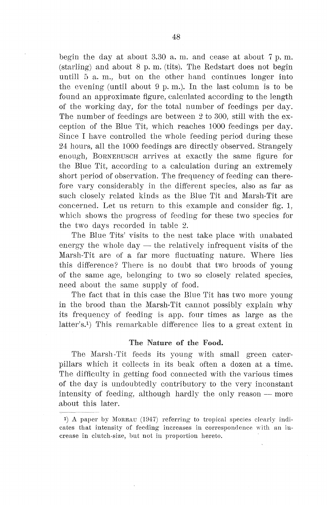begin the day at about  $3.30$  a.m. and cease at about  $7 \text{ p. m.}$  $(\text{starling})$  and about 8 p.m. (tits). The Redstart does not begin untill  $5$  a. m., but on the other hand continues longer into the evening (until about  $9 \text{ p. m.}$ ). In the last column is to be found an approximate figure, calculated according to the length of the working day, for the total number of feedings per day. The number of feedings are between 2 to 300, still with the exception of the Blue Tit, which reaches 1000 feedings per day. Since I have controlled the whole feeding period during these 24 hours, all the 1000 feedings are directly observed. Strangely enough, BORNEBUSCH arrives at exactly the same figure for the Blue Tit, according to a calculation during an extremely short period of observation. The frequency of feeding can therefore vary considerably in the different species, also as far as such closely related kinds as the Blue Tit and Marsh-Tit are concerned. Let us return to this example and consider fig. 1, which shows the progress of feeding for these two species for the two days recorded in table 2.

The Blue Tits' visits to the nest take place with unabated energy the whole  $day$  - the relatively infrequent visits of the Marsh-Tit are of a far more fluctuating nature. Where lies this difference? There is no doubt that two broods of young of the same age, belonging to *two* so closely related species, need about the same supply of food.

The faet that in this case the Blue Tit has two more young in the brood than the Marsh-Tit cannot possibly explain why its frequency of feeding is app. fonr times as large as the latter's.1) This remarkable difference lies to a great extent in

#### The Nature of the Food.

The Marsh-Tit feeds its young with small green caterpillars which it collects in its beak often a dozen at a time. The difficulty in getting food connected with the various times of the day is undoubtedly contributory to the very inconstant intensity of feeding, although hardly the only reason  $-$  more about this later.

<sup>1)</sup> A paper by MOREAU (1947) referring to tropical species clearly indicates that intensity of feeding increases in correspondence with an in--crease in clutch-size, but not in proportion hereto.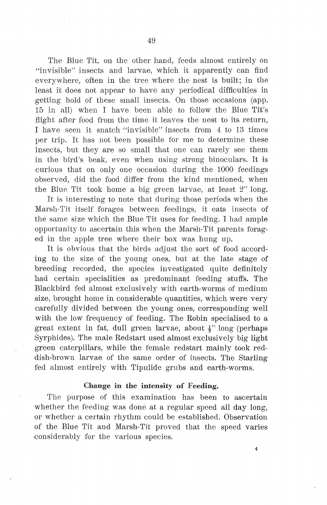The Blue Tit, on the other hand, feeds almost entirely on "invisible" insects and larvae, which it apparently can find everywhere, often in the tree where the nest is built; in the least it does not appear to have any periodical difficulties in getting hold of these small insects. On those occasions (app. 15 in all) when I have been able to follow the Blue Tit's flight after food from the time it leaves the nest to its return, I have seen it snatch "invisible" insects from 4 to 13 times per trip. It has not been possible for me to determine these insects, but they are so small that one can rarely see them in the bird's beak, even when using strong binoculars. It is curious that on only one occasion during the 1000 feedings observed, did the food differ from the kind mentioned, when the Blue Tit took home a big green larvae, at least  $2"$  long.

It is interesting to note that during those periods when the Marsh-Tit itself forages between feedings, it eats insects of the same size which the Blue Tit uses for feeding. I had ample opportunity to ascertain this when the Marsh-Tit parents foraged in the apple tree where their box was hung up.

It is obvious that the birds adjust the sort of food according to the size of the young ones, but at the late stage of breeding recorded, the species investigated quite definitely had certain specialities as predominant feeding stuffs. The Blackbird fed almost exclusively with earth-worms of medium size, brought home in considerable quantities, which were very carefully divided between the young ones, corresponding well with the low frequency of feeding. The Robin specialised to a great extent in fat, dull green larvae, about  $\frac{1}{2}$  long (perhaps Syrphides). The male Redstart used almost exclusively big light green caterpillars, while the female redstart mainly took reddish-brown larvae of the same order of insects. The Starling fed almost entirely with Tipulide grubs and earth-worms.

### Change in the intensity of Feeding.

The purpose of this examination has been to ascertain whether the feeding was done at a regular speed all day long, ·or whether a certain rhythm could be established. Observation of the Blue Tit and Marsh-Tit proved that the speed varies considerably for the various species.

4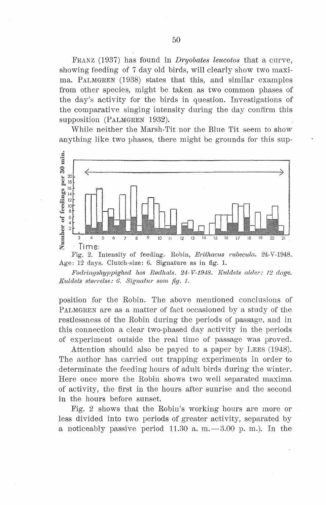FRANZ (1937) has found in *Dryobates leucotos* that a curve, showing feeding of 7 day old birds, will clearly show two maxima. PALMGREN (1938) states that this, and similar examples from other species, might be taken as two common phases of the day's activity for the birds in question. Investigations of the comparative singing intensity during the day confirm this supposition (PALMGREN 1932).

While neither the Marsh-Tit nor the Blue Tit seem to show anything like two phases, there might be grounds for this sup-



Fig. 2. Intensity of feeding. Robin, *Erithacus rubecula.* 24-V-1948. Age: 12 days. Clutch-size: 6. Signature as in fig. 1.

*Fodringshyppighed hos Rødhals. 24-V-1948. Kuldets alder: 12 dage. Kuldets størrelse: 6. Signatur som fig. 1.* 

position for the Robin. The above mentioned conclusions of PALMGREN are as a matter of fact occasioned by a study of the restlessness of the Robin during the periods of passage, and in this connection a clear two-phased day activity in the periods of experiment outside the real time of passage was proved.

Attention should also be payed to a paper by LEES (1948). The author has carried out trapping experiments in order to determinate the feeding hours of adult birds during the winter. Here once more the Robin shows two well separated maxima of activity, the first in the hours after sunrise and the second in the hours before sunset.

Fig. 2 shows that the Robin's working hours are more or less divided into two periods of greater activity, separated by a noticeably passive period  $11.30$  a.m.  $-3.00$  p.m.). In the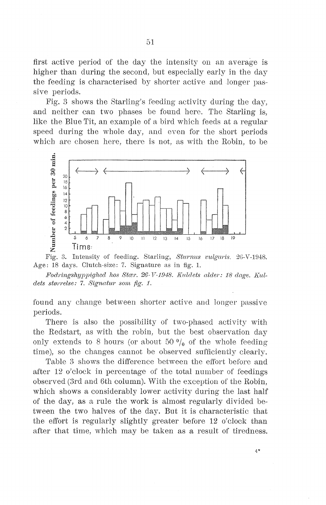first active period of the day the intensity on an average is higher than during the second, but especially early in the day the feeding is characterised by shorter active and longer passive periods.

Fig. 3 shows the Starling's feeding activity during the day, and neither can two phases be found here. The Starling is, like the Blue Tit, an example of a bird which feeds at a regular speed during the whole day, and even for the short periods which are chosen here, there is not, as with the Robin, to be





*Foclringshyppighed hos Stær. 26- Y-1948. Kuldets alder: 18 dage. Kuldets størrelse: 7. Signatur som fig. 1.* 

found any between shorter active and longer passive periods.

There is also the possibility of two-phased activity with the Redstart, as with the robin, but the best observation only extends to 8 hours (or about 50  $\frac{0}{0}$  of the whole feeding time), so the changes cannot be observed sufficiently clearly.

Table 3 shows the difference between the effort before and after 12 o'clock in percentage of the total number of feedings observed (3rd and 6th column). With the exception of the Robin, which shows a considerably lower activity during the last half of the day, as a rule the work is almost regularly divided between the two halves of the day. But it is characteristic that the effort is regularly slightly greater before 12 o'clock than after that time, which may be taken as a result of tiredness.

 $4*$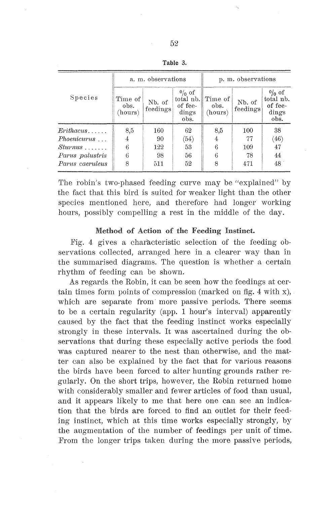|                    |                                                  | a. m. observations |                                                   | p. m. observations         |                    |                                                   |  |
|--------------------|--------------------------------------------------|--------------------|---------------------------------------------------|----------------------------|--------------------|---------------------------------------------------|--|
| Species            | Time of<br>Nb. of<br>obs.<br>feedings<br>(hours) |                    | $0/0$ of<br>total nb.<br>of fee-<br>dings<br>obs. | Time of<br>obs.<br>(hours) | Nb. of<br>feedings | $0/0$ of<br>total nb.<br>of fee-<br>dings<br>obs. |  |
| $Erithacus \ldots$ | 8,5                                              | 160                | 62                                                | 8,5                        | 100                | 38                                                |  |
| <i>Phoenicurus</i> | 4                                                | 90                 | (54)                                              | 4                          | 77                 | (46)                                              |  |
| $Sturnus$          | 6                                                | 122                | 53                                                | 6                          | 109                | 47                                                |  |
| Parus palustris    | 6                                                | 98                 | 56                                                | 6                          | 78                 | 44                                                |  |
| Parus caeruleus    | 8                                                | 511                | 52                                                | 8                          | 471                | 48                                                |  |

The robin's two-phased feeding curve may be "explained" by the faet that this bird is suited for weaker light than the other species mentioned here, and therefore had longer working hours, possibly compelling a rest in the middle of the day.

### Method of Action of the Feeding Instinct.

Pig. 4 gives a characteristic selection of the feeding observations collected, arranged here in a clearer way than in the summarised diagrams. The question is whether a certain rhythm of feeding can be shown.

As regards the Robin, it can be seen how the feedings at certain times form points of compression (marked on fig. 4 with x), which are separate from more passive periods. There seems to be a certain regularity (app. 1 hour's interval) apparently caused by the faet that the feeding instinct works especially strongly in these intervals. It was ascertained during the observations that during these especially active periods the food was captured nearer to the nest than otherwise, and the matter can also be explained by the faet that for various reasons the birds have been forced to alter hunting grounds rather regularly. On the short trips, however, the Robin returned home with considerably smaller and fewer articles of food than usual, and it appears likely to me that here one can see an indication that the hirds are forced to find an outlet for their feeding instinct, which at this time works especially strongly, by the augmentation of the number of feedings per unit of time. From the longer trips taken during the more passive periods,

Table 3.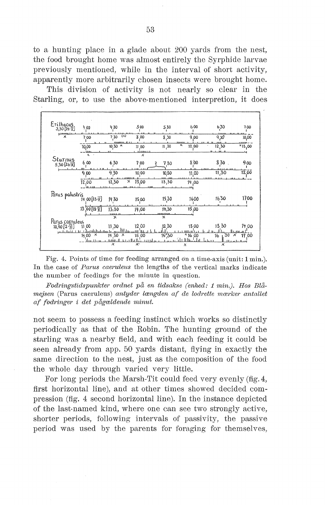to a hunting place in a glade about 200 yards from the nest, the food brought home was almost entirely the Syrphide larvae previously mentioned, while in the interval of short activity, apparently more arbitrarily chosen insects were brought home.

This division of activity is not nearly so clear in the Starling, or, to use the above-mentioned interpretion, it does

| Erithacus<br>3,30 [24·V]                                                      | 400                     | 430                                | 500        | 530                       | 600                              | 630       | 700                    |
|-------------------------------------------------------------------------------|-------------------------|------------------------------------|------------|---------------------------|----------------------------------|-----------|------------------------|
| <b>Linner</b><br>$\boldsymbol{\mathsf{x}}$                                    | 700                     | (x)<br>7.30                        | 8.00       | 8,30                      | 9,00                             | 938       | 10,00                  |
|                                                                               | 10,00                   | $10,30$ $\times$                   | 11.00      | <b>Basic</b><br>11,30     | $\overline{\mathbf{x}}$<br>12,00 | 12,30     | $x_{13,00}$            |
|                                                                               | $x -$                   |                                    | domen<br>× |                           |                                  | $10 - 11$ |                        |
| Sturnus<br>$530[26\bar{1}]$                                                   | 6 00                    | 630                                | 7.00       | 730                       | 800                              | $830$ .   | 900                    |
|                                                                               | 9,00                    | 9,30                               | 10,00      | 10,30                     | 11,00                            | 11,30     | 12.00                  |
|                                                                               | 12,00                   | 12,30<br>×                         | 13,00      | 13,30                     | 14,00                            |           |                        |
| Parus palustris                                                               |                         |                                    |            |                           |                                  |           |                        |
|                                                                               | $1400[23-\bar{y}]$      | 1430                               | 1500       | 15.30                     | 1600                             | 1630      | 1700                   |
|                                                                               | $[00128 \cdot Y]$<br>13 | 13,30                              | 14,00      | 14,30                     | 15,00                            |           |                        |
|                                                                               |                         | x                                  |            | $\boldsymbol{\mathsf{x}}$ |                                  |           |                        |
| Parus caeruleus<br>$10, 30$ $[2 \cdot \overline{V}]$<br>للأطياط والمالحاء ببر | 11.00                   | 11.30                              | 12 00      | 12 30                     | 1300                             | 13 30     | 14 00<br><b>Branco</b> |
|                                                                               | $\times$<br>14.00       | 14,30<br>$\boldsymbol{\mathsf{x}}$ | 15.00      | 15,30                     | $*16.00$<br>ST i It It<br>d at   | 16, 30    | 17.00<br>×             |

Fig. 4. Points of time for feeding arranged on a time-axis (unit: 1 min.). In the case of *Parus caeruleus* the lengths of the vertical marks indicate the number of feedings for the minute in question.

*Fodringstidspunkte1· ordnet på en tidsakse (enhed: 1 min.). Hos Blåmejsen* (Parus caeruleus) *antyder længden af de lodrette mærker antallet af f odringm· i det pågældende minut.* 

not seem to possess a feeding instinct which works so distinctly periodically as that of the Robin. The hunting ground of the starling was a nearby field, and with each feeding it could be seen already from app. 50 yards distant, flying in exactly the same direction to the nest, just as the composition of the food the whole day through varied very little.

For long periods the Marsh-Tit could feed very evenly (fig. 4, first horizontal line), and at other times showed decided compression (fig. 4 second horizontal line). In the instance depicted of the last-named kind, where one can see two strongly active, shorter periods, following intervals of passivity, the passive period was used by the parents for foraging for themselves,.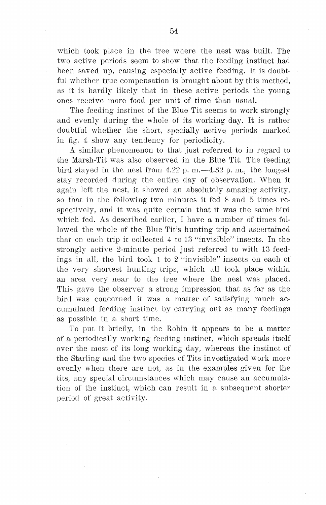which took place in the tree where the nest was built. The two active periods seem to show that the feeding instinct had been saved up, causing especially active feeding. It is doubtful whether true compensation is brought about by this method, as it is hardly likely that in these active periods the young ones receive more food per unit of time than usual.

The feeding instinct of the Blue Tit seems to work strongly and evenly during the whole of its working day. It is rather doubtful whether the short, specially active periods marked in fig. 4 show any tendency for periodicity.

A similar phenomenon to that just referred to in regard to the Marsh-Tit was also observed in the Blue Tit. The feeding bird stayed in the nest from  $4.22$  p.m.  $-4.32$  p.m., the longest stay recorded during the entire day of observation. When it again left the nest, it showed an absolutely amazing activity, so that in the following two minutes it fed 8 and 5 times respectively, and it was quite certain that it was the same bird which fed. As described earlier, I have a number of times followed the whole of the Blue Tit's hunting trip and ascertained that on each trip it collected 4 to 13 "invisible" insects. In the strongly active 2-minute period just referred to with 13 feedings in all, the bird took 1 to 2 "invisible" insects on each of the very shortest hunting trips, which all took place within an area very near to the tree where the nest was placed. This gave the observer a strong impression that as far as the bird was concerned it was a matter of satisfying much accumulated feeding instinct by carrying out as many feedings as possible in a short time.

To put it briefly, in the Robin it appears to be a matter of a periodically working feeding instinct, which spreads itself over the most of its long working day, whereas the instinct of the Starling and the two species of Tits investigated work more evenly when there are not, as in the examples given for the tits, any special circumstances which may cause an accumulation of the instinct, which can result in a subsequent shorter period of great activity.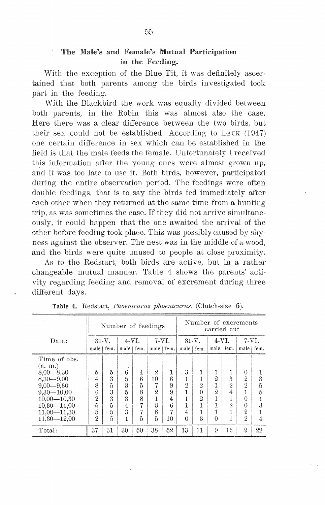# The Male's and Female's Mutual Participation in the Feeding.

With the exception of the Blue Tit, it was definitely ascertained that both parents among the birds investigated took part in the feeding.

With the Blackbird the work was equally divided between both parents, in the Robin this was almost also the case. Here there was a clear dffference between the two hirds, but their sex could not be established. According to  $LACK (1947)$ one certain difference in sex which can be established in the field is that the male feeds the female. Unfortunately I received this information after the young ones were almost grown up, and it was too late to use it. Both birds, however, participated during the entire observation period. The feedings were often double feedings, that is to say the birds fed immediately after each other when they returned at the same time from a hunting trip, as was sometimes the case. If they did not arrive simultaneously, it could happen that the one awaited the arrival of the other before feeding took place. This was possibly caused by shyness against the observer. The nest was in the middle of a wood, and the birds were quite unused to people at close proximity.

As to the Redstart, both birds are active, but in a rather changeable mutual manner. Table 4 shows the parents' activity regarding feeding and removal of excrement during three different days.

|                                                                                                                                                                        | Number of feedings                                           |                                      |                                                   |                                 |                                                                                     | Number of excrements<br>carried out   |                                                 |                                                                        |                                                   |                                             |                                                                                                   |                       |
|------------------------------------------------------------------------------------------------------------------------------------------------------------------------|--------------------------------------------------------------|--------------------------------------|---------------------------------------------------|---------------------------------|-------------------------------------------------------------------------------------|---------------------------------------|-------------------------------------------------|------------------------------------------------------------------------|---------------------------------------------------|---------------------------------------------|---------------------------------------------------------------------------------------------------|-----------------------|
| Date:                                                                                                                                                                  | $31-V.$                                                      |                                      | $4-VI$ .                                          |                                 | 7-VI.                                                                               |                                       | $31-V.$                                         |                                                                        | $4-VI$ .                                          |                                             | 7-VI.                                                                                             |                       |
|                                                                                                                                                                        |                                                              | male   fem.                          | male   fem.                                       |                                 |                                                                                     |                                       | male   fem. $\parallel$ male   fem. $\parallel$ |                                                                        | male   fem.                                       |                                             | male   fem.                                                                                       |                       |
| Time of obs.<br>(a. m.)<br>$8,00 - 8,30$<br>$8,30-9,00$<br>$9,00 - 9,30$<br>$9,30 - 10,00$<br>$10,00 - 10,30$<br>$10,30 - 11,00$<br>$11,00 - 11,30$<br>$11,30 - 12,00$ | 5<br>4<br>8<br>6<br>$\mathbf{2}$<br>5<br>5<br>$\overline{2}$ | 5<br>3<br>5<br>3<br>3<br>5<br>5<br>5 | 6<br>5<br>3<br>5<br>3<br>4<br>$\overline{3}$<br>1 | 4<br>6<br>5<br>8<br>8<br>7<br>5 | $\mathbf{2}$<br>10<br>7<br>$\overline{2}$<br>1<br>$\overline{\mathbf{3}}$<br>8<br>5 | 1<br>6<br>9<br>9<br>4<br>6<br>σ<br>10 | 3<br>1<br>$\overline{2}$<br>4<br>$\Omega$       | 1<br>1<br>$\overline{2}$<br>$\theta$<br>$\overline{2}$<br>$\mathbf{3}$ | 1<br>$\overline{2}$<br>$\overline{2}$<br>$\Omega$ | 1<br>3<br>$\overline{2}$<br>4<br>$\ddot{2}$ | 0<br>$\overline{2}$<br>$\overline{2}$<br>$\Omega$<br>$\Omega$<br>$\overline{2}$<br>$\overline{2}$ | 3<br>5<br>5<br>3<br>4 |
| Total:                                                                                                                                                                 | 37                                                           | 31                                   | 30                                                | 50                              | 38                                                                                  | 52                                    | 13                                              | 11                                                                     | 9                                                 | 15                                          | 9                                                                                                 | 22                    |

Table 4. Redstart, *Phoenicurus phoenicurus.* (Clutch-size 6).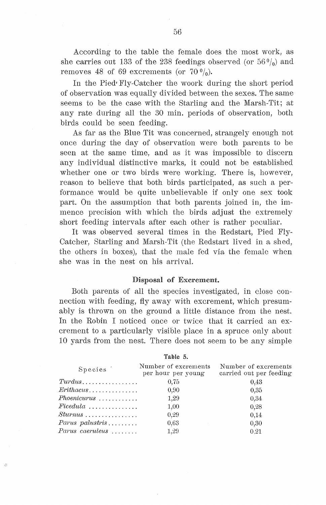According to the table the female does the most work, as she carries out 133 of the 238 feedings observed (or  $56 \frac{0}{0}$ ) and removes 48 of 69 excrements (or  $70 \frac{0}{0}$ ).

In the Pied• Fly-Catcher the woork during the short period of observation was equally divided between the sexes. The same seems to be the case with the Starling and the Marsh-Tit; at any rate during all the 30 min. periods of observation, both hirds could be seen feeding.

As far as the Blue Tit was concerned, strangely enough not once during the day of observation were both parents to be seen at the same time, and as it was impossible to discern any individual distinctive marks, it could not be established whether one or two birds were working. There is, however, reason to believe that both hirds participated, as such a performance would be quite unbelievable if only one sex took part. On the assumption that both parents joined in, the immence precision with which the hirds adjust the extremely short feeding intervals after each other is rather peculiar.

It was observed several times in the Redstart, Pied Fly-Catcher, Starling and Marsh-Tit (the Redstart lived in a shed, the others in boxes), that the male fed via the female when she was in the nest on his arrival.

### Disposal of Excrement.

Both parents of all the species investigated, in close connection with feeding, fly away with excrement, which presumably is thrown on the ground a little distance from the nest. In the Robin I noticed once or twice that it carried an excrement to a particularly visible place in a spruce only about 10 yards from the nest. There does not seem to be any simple

| <b>Species</b>                          | Number of excrements<br>per hour per young | Number of excrements<br>carried out per feeding |
|-----------------------------------------|--------------------------------------------|-------------------------------------------------|
|                                         | 0.75                                       | 0.43                                            |
| $Erithacus \ldots \ldots \ldots \ldots$ | 0.90                                       | 0,35                                            |
| $Phoenicurus \ldots \ldots \ldots$      | 1,29                                       | 0.34                                            |
| $Ficedula$                              | 1,00                                       | 0.28                                            |
|                                         | 0.29                                       | 0.14                                            |
| $Parus$ palustris                       | 0.63                                       | 0,30                                            |
| $Parus$ caeruleus $\ldots \ldots$       | 1,29                                       | 0.21                                            |
|                                         |                                            |                                                 |

 $\mathcal C$ 

Table 5.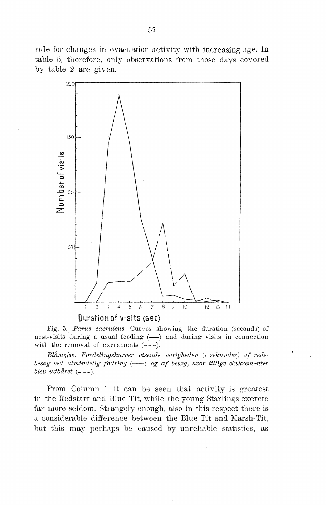rule for changes in evacuation activity with increasing age. In table 5, therefore, only observations from those days covered by table  $2$  are given.



Fig. 5. *Parus caeruleus.* Curves showing the duration (seconds) of nest-visits during a usual feeding  $(-)$  and during visits in connection with the removal of excrements  $(- - -)$ .

*Blåmejse. Fordelingskurve1· visende varigneden* (i *sekunder) af redebesøg ved almindelig fodring* (--) og af besøg, hvor tillige ekskrementer *blev udbåret*  $(- - -).$ 

From Column 1 it can be seen that activity is greatest in the Redstart and Blue Tit, while the young Starlings excrete far more seldom. Strangely enough, also in this respect there is a considerable difference between the Blue Tit and Marsh-Tit, but this may perhaps be caused by unreliable statistics, as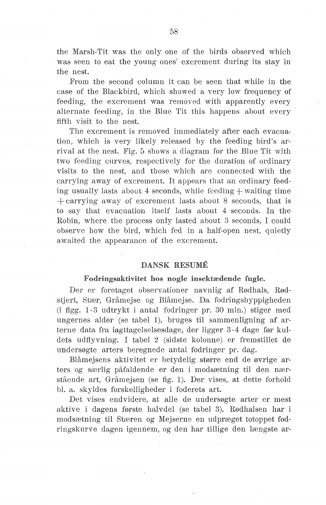the Marsh-Tit was the only one of the birds observed which was seen to eat the young ones' excrement during its stay in the nest.

From the second column it can be seen that while in the case of the Blackbird, which showed a very low frequency of feeding, the excrement was removed with apparently every alternate feeding, in the Blue Tit this happens about every fifth visit to the nest.

The excrement is removed immediately after each evacuation, which is very likely released by the feeding bird's arrival at the nest. Fig. 5 shows a diagram for the Blue Tit with two feeding curves, respectively for the duration of ordinary visits to the nest, and tbose which are connected with the carrying away of excrement. It appears that an ordinary feeding usually lasts about 4 seconds, while feeding  $+$  waiting time  $+$  carrying away of excrement lasts about 8 seconds, that is to say that evacuation itself lasts about 4 seconds. In the Robin, where the process only lasted about 3 seconds, I could observe how the bird, which fed in a half-open nest, quietly awaited the appearance of the excrement.

## DANSK RESUMÉ

### Fodringsaktivitet hos nogle insektædende fugle.

Der er foretaget observationer navnlig af Rødhals, Rødstjert, Stær, Gråmejse og Blåmejse. Da fodringshyppigheden (i figg. 1-3 udtrykt i antal fodringer pr. 30 min.) stiger med ungernes alder (se tabel 1), bruges til sammenligning af arterne data fra iagttagelselsesdage, der ligger 3-4 dage før kuldets udflyvning. I tabel 2 (sidste kolonne) er fremstillet de undersøgte arters beregnede antal fodringer pr. dag.

Blåmejsens aktivitet er betydelig større end de øvrige arters og særlig påfaldende er den i modsætning til den nærstående art, Gråmejsen (se fig. 1). Der vises, at dette forhold bl. a. skyldes forskelligheder i foderets art.

Det vises endvidere, at alle de undersøgte arter er mest aktive i dagens første halvdel (se tabel 3). Rødhalsen har i modsætning til Stæren og Mejserne en udpræget totoppet fodringskurve dagen igennem, og den har tillige den længste ar